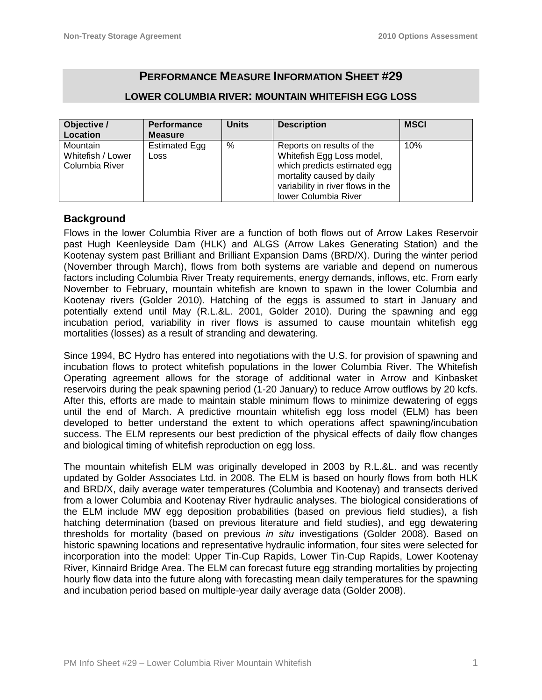# **PERFORMANCE MEASURE INFORMATION SHEET #29**

| Objective /<br>Location                                | <b>Performance</b><br><b>Measure</b> | <b>Units</b> | <b>Description</b>                                                                                                                                                                      | <b>MSCI</b> |
|--------------------------------------------------------|--------------------------------------|--------------|-----------------------------------------------------------------------------------------------------------------------------------------------------------------------------------------|-------------|
| <b>Mountain</b><br>Whitefish / Lower<br>Columbia River | Estimated Egg<br><b>Loss</b>         | $\%$         | Reports on results of the<br>Whitefish Egg Loss model,<br>which predicts estimated egg<br>mortality caused by daily<br>variability in river flows in the<br><b>lower Columbia River</b> | 10%         |

### **LOWER COLUMBIA RIVER: MOUNTAIN WHITEFISH EGG LOSS**

### **Background**

Flows in the lower Columbia River are a function of both flows out of Arrow Lakes Reservoir past Hugh Keenleyside Dam (HLK) and ALGS (Arrow Lakes Generating Station) and the Kootenay system past Brilliant and Brilliant Expansion Dams (BRD/X). During the winter period (November through March), flows from both systems are variable and depend on numerous factors including Columbia River Treaty requirements, energy demands, inflows, etc. From early November to February, mountain whitefish are known to spawn in the lower Columbia and Kootenay rivers (Golder 2010). Hatching of the eggs is assumed to start in January and potentially extend until May (R.L.&L. 2001, Golder 2010). During the spawning and egg incubation period, variability in river flows is assumed to cause mountain whitefish egg mortalities (losses) as a result of stranding and dewatering.

Since 1994, BC Hydro has entered into negotiations with the U.S. for provision of spawning and incubation flows to protect whitefish populations in the lower Columbia River. The Whitefish Operating agreement allows for the storage of additional water in Arrow and Kinbasket reservoirs during the peak spawning period (1-20 January) to reduce Arrow outflows by 20 kcfs. After this, efforts are made to maintain stable minimum flows to minimize dewatering of eggs until the end of March. A predictive mountain whitefish egg loss model (ELM) has been developed to better understand the extent to which operations affect spawning/incubation success. The ELM represents our best prediction of the physical effects of daily flow changes and biological timing of whitefish reproduction on egg loss.

The mountain whitefish ELM was originally developed in 2003 by R.L.&L. and was recently updated by Golder Associates Ltd. in 2008. The ELM is based on hourly flows from both HLK and BRD/X, daily average water temperatures (Columbia and Kootenay) and transects derived from a lower Columbia and Kootenay River hydraulic analyses. The biological considerations of the ELM include MW egg deposition probabilities (based on previous field studies), a fish hatching determination (based on previous literature and field studies), and egg dewatering thresholds for mortality (based on previous *in situ* investigations (Golder 2008). Based on historic spawning locations and representative hydraulic information, four sites were selected for incorporation into the model: Upper Tin‐Cup Rapids, Lower Tin‐Cup Rapids, Lower Kootenay River, Kinnaird Bridge Area. The ELM can forecast future egg stranding mortalities by projecting hourly flow data into the future along with forecasting mean daily temperatures for the spawning and incubation period based on multiple-year daily average data (Golder 2008).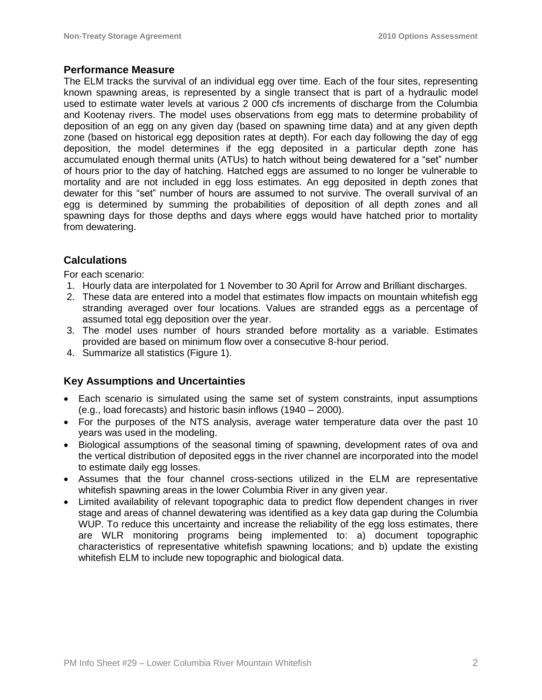### **Performance Measure**

The ELM tracks the survival of an individual egg over time. Each of the four sites, representing known spawning areas, is represented by a single transect that is part of a hydraulic model used to estimate water levels at various 2 000 cfs increments of discharge from the Columbia and Kootenay rivers. The model uses observations from egg mats to determine probability of deposition of an egg on any given day (based on spawning time data) and at any given depth zone (based on historical egg deposition rates at depth). For each day following the day of egg deposition, the model determines if the egg deposited in a particular depth zone has accumulated enough thermal units (ATUs) to hatch without being dewatered for a "set" number of hours prior to the day of hatching. Hatched eggs are assumed to no longer be vulnerable to mortality and are not included in egg loss estimates. An egg deposited in depth zones that dewater for this "set" number of hours are assumed to not survive. The overall survival of an egg is determined by summing the probabilities of deposition of all depth zones and all spawning days for those depths and days where eggs would have hatched prior to mortality from dewatering.

### **Calculations**

For each scenario:

- 1. Hourly data are interpolated for 1 November to 30 April for Arrow and Brilliant discharges.
- 2. These data are entered into a model that estimates flow impacts on mountain whitefish egg stranding averaged over four locations. Values are stranded eggs as a percentage of assumed total egg deposition over the year.
- 3. The model uses number of hours stranded before mortality as a variable. Estimates provided are based on minimum flow over a consecutive 8-hour period.
- 4. Summarize all statistics (Figure 1).

## **Key Assumptions and Uncertainties**

- Each scenario is simulated using the same set of system constraints, input assumptions (e.g., load forecasts) and historic basin inflows (1940 – 2000).
- For the purposes of the NTS analysis, average water temperature data over the past 10 years was used in the modeling.
- Biological assumptions of the seasonal timing of spawning, development rates of ova and the vertical distribution of deposited eggs in the river channel are incorporated into the model to estimate daily egg losses.
- Assumes that the four channel cross-sections utilized in the ELM are representative whitefish spawning areas in the lower Columbia River in any given year.
- Limited availability of relevant topographic data to predict flow dependent changes in river stage and areas of channel dewatering was identified as a key data gap during the Columbia WUP. To reduce this uncertainty and increase the reliability of the egg loss estimates, there are WLR monitoring programs being implemented to: a) document topographic characteristics of representative whitefish spawning locations; and b) update the existing whitefish ELM to include new topographic and biological data.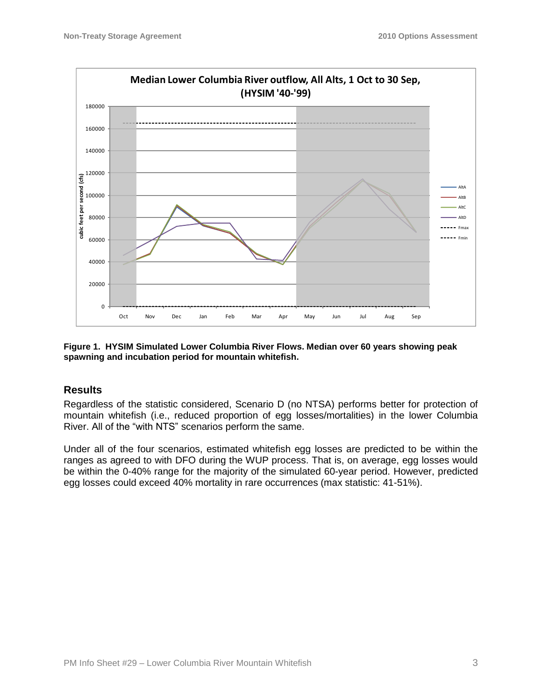

**Figure 1. HYSIM Simulated Lower Columbia River Flows. Median over 60 years showing peak spawning and incubation period for mountain whitefish.**

### **Results**

Regardless of the statistic considered, Scenario D (no NTSA) performs better for protection of mountain whitefish (i.e., reduced proportion of egg losses/mortalities) in the lower Columbia River. All of the "with NTS" scenarios perform the same.

Under all of the four scenarios, estimated whitefish egg losses are predicted to be within the ranges as agreed to with DFO during the WUP process. That is, on average, egg losses would be within the 0-40% range for the majority of the simulated 60-year period. However, predicted egg losses could exceed 40% mortality in rare occurrences (max statistic: 41-51%).